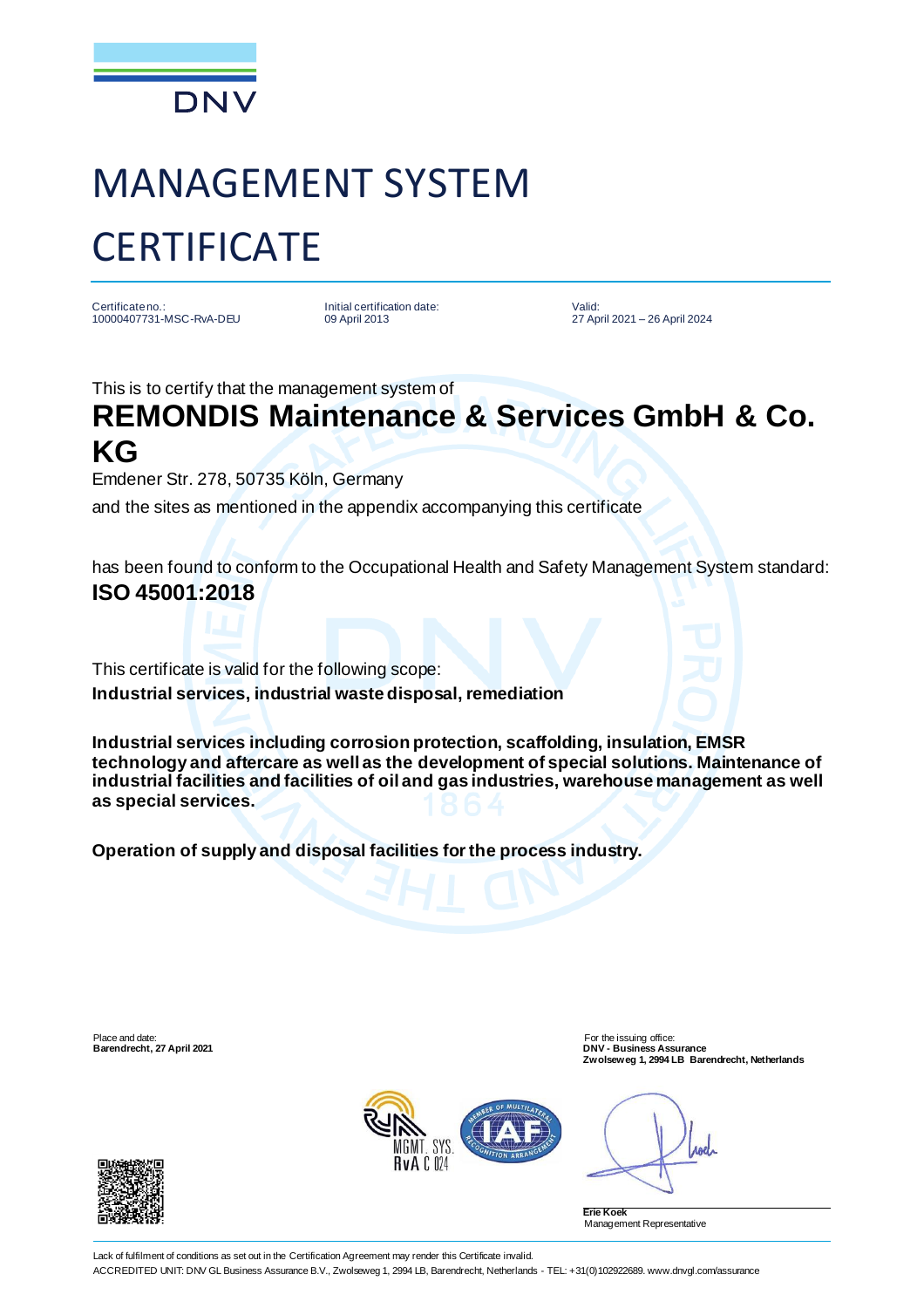

## MANAGEMENT SYSTEM **CERTIFICATE**

Certificate no.: 10000407731-MSC-RvA-DEU Initial certification date: 09 April 2013

Valid: 27 April 2021 – 26 April 2024

This is to certify that the management system of

## **REMONDIS Maintenance & Services GmbH & Co. KG**

Emdener Str. 278, 50735 Köln, Germany

and the sites as mentioned in the appendix accompanying this certificate

has been found to conform to the Occupational Health and Safety Management System standard: **ISO 45001:2018**

This certificate is valid for the following scope: **Industrial services, industrial waste disposal, remediation**

**Industrial services including corrosion protection, scaffolding, insulation, EMSR technology and aftercare as well as the development of special solutions. Maintenance of industrial facilities and facilities of oil and gas industries, warehouse management as well as special services.**

**Operation of supply and disposal facilities for the process industry.**

Place and date: For the issuing office: **Barendrecht, 27 April 2021 DNV - Business Assurance Zwolseweg 1, 2994 LB Barendrecht, Netherlands**



roel

**Erie Koek** Management Representative



Lack of fulfilment of conditions as set out in the Certification Agreement may render this Certificate invalid. ACCREDITED UNIT: DNV GL Business Assurance B.V., Zwolseweg 1, 2994 LB, Barendrecht, Netherlands - TEL: +31(0)102922689. www.dnvgl.com/assurance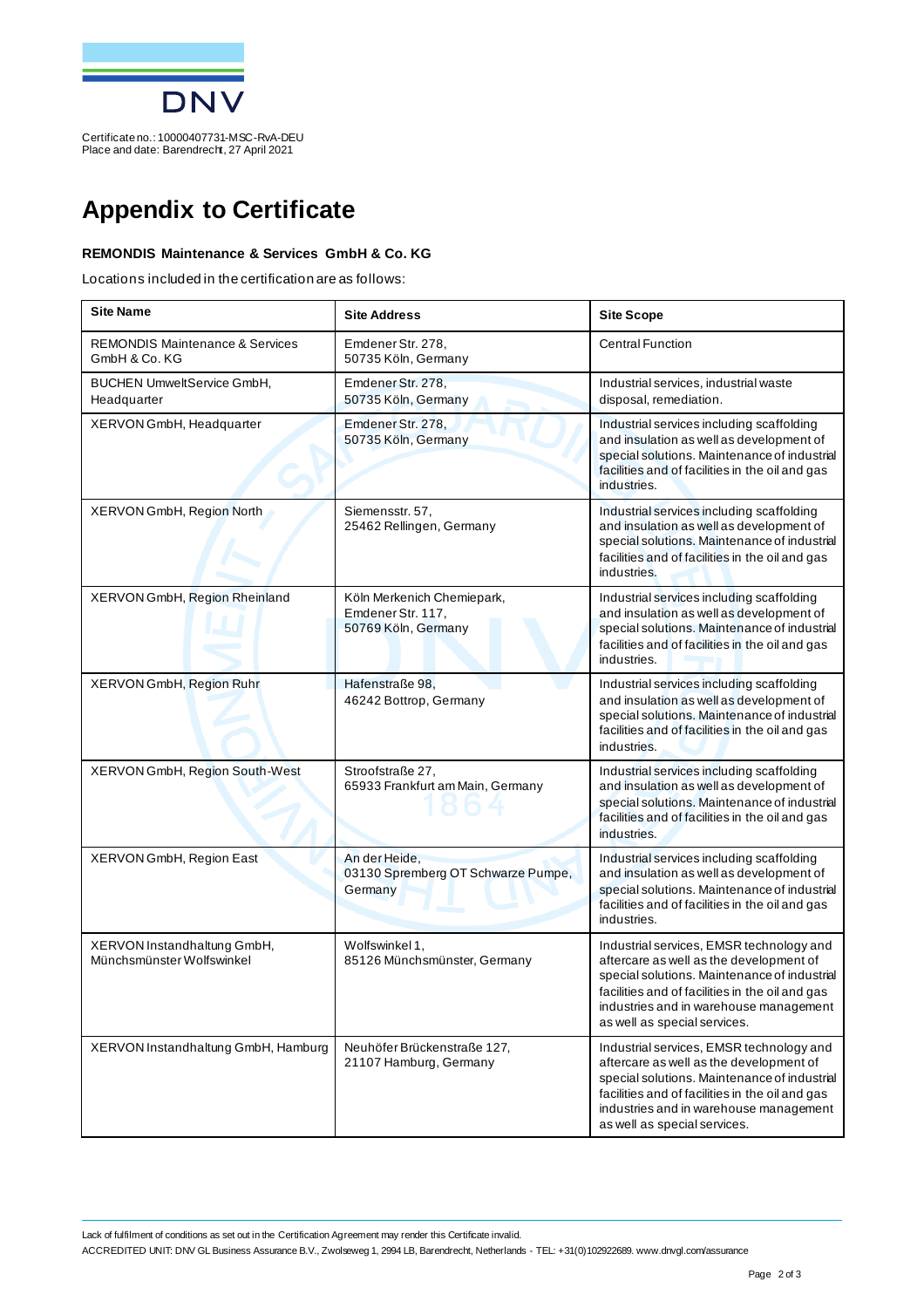

Certificate no.: 10000407731-MSC-RvA-DEU Place and date: Barendrecht, 27 April 2021

## **Appendix to Certificate**

## **REMONDIS Maintenance & Services GmbH & Co. KG**

Locations included in the certification are as follows:

| <b>Site Name</b>                                            | <b>Site Address</b>                                                    | <b>Site Scope</b>                                                                                                                                                                                                                                                |
|-------------------------------------------------------------|------------------------------------------------------------------------|------------------------------------------------------------------------------------------------------------------------------------------------------------------------------------------------------------------------------------------------------------------|
| <b>REMONDIS Maintenance &amp; Services</b><br>GmbH & Co. KG | Emdener Str. 278,<br>50735 Köln, Germany                               | <b>Central Function</b>                                                                                                                                                                                                                                          |
| BUCHEN UmweltService GmbH,<br>Headquarter                   | Emdener Str. 278,<br>50735 Köln, Germany                               | Industrial services, industrial waste<br>disposal, remediation.                                                                                                                                                                                                  |
| XERVON GmbH, Headquarter                                    | Emdener Str. 278,<br>50735 Köln, Germany                               | Industrial services including scaffolding<br>and insulation as well as development of<br>special solutions. Maintenance of industrial<br>facilities and of facilities in the oil and gas<br>industries.                                                          |
| XERVON GmbH, Region North                                   | Siemensstr. 57,<br>25462 Rellingen, Germany                            | Industrial services including scaffolding<br>and insulation as well as development of<br>special solutions. Maintenance of industrial<br>facilities and of facilities in the oil and gas<br>industries.                                                          |
| XERVON GmbH, Region Rheinland                               | Köln Merkenich Chemiepark,<br>Emdener Str. 117,<br>50769 Köln, Germany | Industrial services including scaffolding<br>and insulation as well as development of<br>special solutions. Maintenance of industrial<br>facilities and of facilities in the oil and gas<br>industries.                                                          |
| XERVON GmbH, Region Ruhr                                    | Hafenstraße 98,<br>46242 Bottrop, Germany                              | Industrial services including scaffolding<br>and insulation as well as development of<br>special solutions. Maintenance of industrial<br>facilities and of facilities in the oil and gas<br>industries.                                                          |
| XERVON GmbH, Region South-West                              | Stroofstraße 27,<br>65933 Frankfurt am Main, Germany                   | Industrial services including scaffolding<br>and insulation as well as development of<br>special solutions. Maintenance of industrial<br>facilities and of facilities in the oil and gas<br>industries.                                                          |
| XERVON GmbH, Region East                                    | An der Heide,<br>03130 Spremberg OT Schwarze Pumpe,<br>Germany         | Industrial services including scaffolding<br>and insulation as well as development of<br>special solutions. Maintenance of industrial<br>facilities and of facilities in the oil and gas<br>industries.                                                          |
| XERVON Instandhaltung GmbH,<br>Münchsmünster Wolfswinkel    | Wolfswinkel 1,<br>85126 Münchsmünster, Germany                         | Industrial services, EMSR technology and<br>aftercare as well as the development of<br>special solutions. Maintenance of industrial<br>facilities and of facilities in the oil and gas<br>industries and in warehouse management<br>as well as special services. |
| XERVON Instandhaltung GmbH, Hamburg                         | Neuhöfer Brückenstraße 127,<br>21107 Hamburg, Germany                  | Industrial services, EMSR technology and<br>aftercare as well as the development of<br>special solutions. Maintenance of industrial<br>facilities and of facilities in the oil and gas<br>industries and in warehouse management<br>as well as special services. |

Lack of fulfilment of conditions as set out in the Certification Agreement may render this Certificate invalid. ACCREDITED UNIT: DNV GL Business Assurance B.V., Zwolseweg 1, 2994 LB, Barendrecht, Netherlands - TEL: +31(0)102922689. www.dnvgl.com/assurance